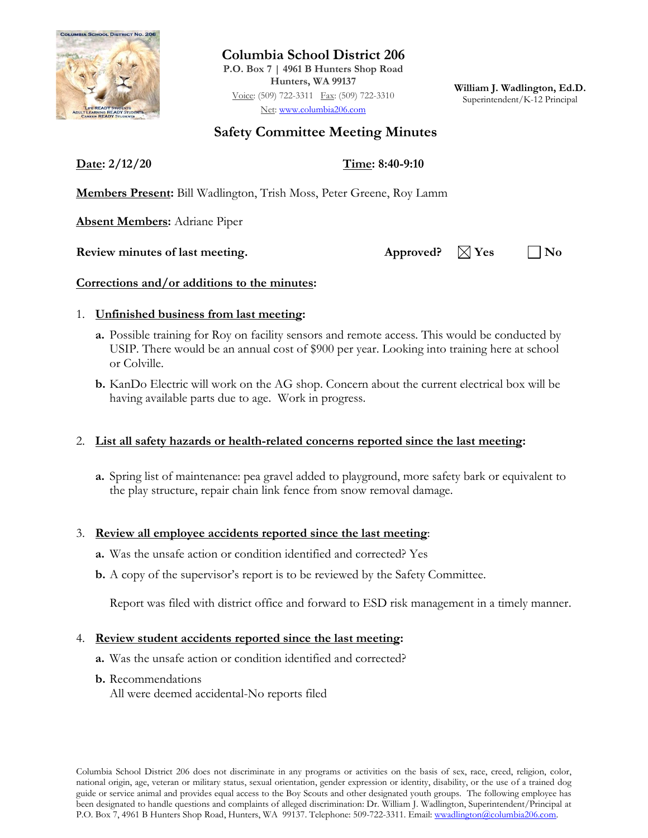

**Columbia School District 206 P.O. Box 7 | 4961 B Hunters Shop Road Hunters, WA 99137**

Voice: (509) 722-3311 Fax: (509) 722-3310 Net: [www.columbia206.com](http://www.columbia206.com/)

**William J. Wadlington, Ed.D.** Superintendent/K-12 Principal

# **Safety Committee Meeting Minutes**

**Date: 2/12/20 Time: 8:40-9:10**

**Members Present:** Bill Wadlington, Trish Moss, Peter Greene, Roy Lamm

**Absent Members:** Adriane Piper

**Review minutes of last meeting.** Approved?  $\boxtimes$  Yes  $\Box$  No

### **Corrections and/or additions to the minutes:**

### 1. **Unfinished business from last meeting:**

- **a.** Possible training for Roy on facility sensors and remote access. This would be conducted by USIP. There would be an annual cost of \$900 per year. Looking into training here at school or Colville.
- **b.** KanDo Electric will work on the AG shop. Concern about the current electrical box will be having available parts due to age. Work in progress.

## 2. **List all safety hazards or health-related concerns reported since the last meeting:**

**a.** Spring list of maintenance: pea gravel added to playground, more safety bark or equivalent to the play structure, repair chain link fence from snow removal damage.

### 3. **Review all employee accidents reported since the last meeting**:

- **a.** Was the unsafe action or condition identified and corrected? Yes
- **b.** A copy of the supervisor's report is to be reviewed by the Safety Committee.

Report was filed with district office and forward to ESD risk management in a timely manner.

### 4. **Review student accidents reported since the last meeting:**

- **a.** Was the unsafe action or condition identified and corrected?
- **b.** Recommendations
	- All were deemed accidental-No reports filed